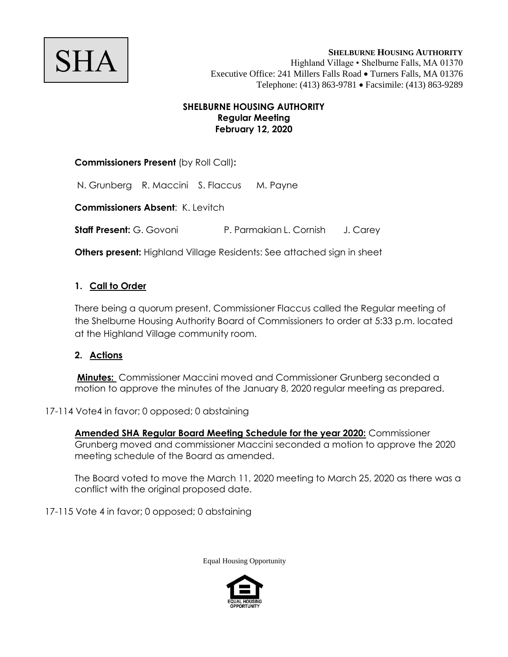

#### **SHELBURNE HOUSING AUTHORITY Regular Meeting February 12, 2020**

# **Commissioners Present** (by Roll Call)**:**

N. Grunberg R. Maccini S. Flaccus M. Payne

**Commissioners Absent**: K. Levitch

**Staff Present:** G. Govoni P. Parmakian L. Cornish J. Carey

**Others present:** Highland Village Residents: See attached sign in sheet

## **1. Call to Order**

There being a quorum present, Commissioner Flaccus called the Regular meeting of the Shelburne Housing Authority Board of Commissioners to order at 5:33 p.m. located at the Highland Village community room.

## **2. Actions**

**Minutes:** Commissioner Maccini moved and Commissioner Grunberg seconded a motion to approve the minutes of the January 8, 2020 regular meeting as prepared.

17-114 Vote4 in favor; 0 opposed; 0 abstaining

**Amended SHA Regular Board Meeting Schedule for the year 2020:** Commissioner Grunberg moved and commissioner Maccini seconded a motion to approve the 2020 meeting schedule of the Board as amended.

The Board voted to move the March 11, 2020 meeting to March 25, 2020 as there was a conflict with the original proposed date.

17-115 Vote 4 in favor; 0 opposed; 0 abstaining

Equal Housing Opportunity

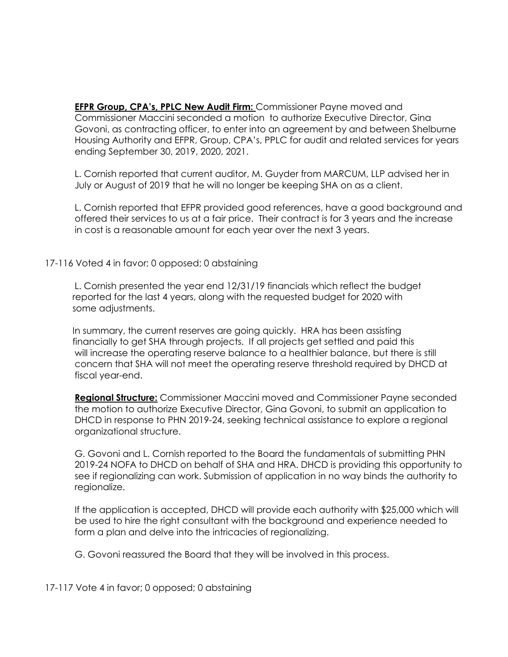**EFPR Group, CPA's, PPLC New Audit Firm:** Commissioner Payne moved and Commissioner Maccini seconded a motion to authorize Executive Director, Gina Govoni, as contracting officer, to enter into an agreement by and between Shelburne Housing Authority and EFPR, Group, CPA's, PPLC for audit and related services for years ending September 30, 2019, 2020, 2021.

L. Cornish reported that current auditor, M. Guyder from MARCUM, LLP advised her in July or August of 2019 that he will no longer be keeping SHA on as a client.

L. Cornish reported that EFPR provided good references, have a good background and offered their services to us at a fair price. Their contract is for 3 years and the increase in cost is a reasonable amount for each year over the next 3 years.

17-116 Voted 4 in favor; 0 opposed; 0 abstaining

L. Cornish presented the year end 12/31/19 financials which reflect the budget reported for the last 4 years, along with the requested budget for 2020 with some adjustments.

 In summary, the current reserves are going quickly. HRA has been assisting financially to get SHA through projects. If all projects get settled and paid this will increase the operating reserve balance to a healthier balance, but there is still concern that SHA will not meet the operating reserve threshold required by DHCD at fiscal year-end.

**Regional Structure:** Commissioner Maccini moved and Commissioner Payne seconded the motion to authorize Executive Director, Gina Govoni, to submit an application to DHCD in response to PHN 2019-24, seeking technical assistance to explore a regional organizational structure.

G. Govoni and L. Cornish reported to the Board the fundamentals of submitting PHN 2019-24 NOFA to DHCD on behalf of SHA and HRA. DHCD is providing this opportunity to see if regionalizing can work. Submission of application in no way binds the authority to regionalize.

If the application is accepted, DHCD will provide each authority with \$25,000 which will be used to hire the right consultant with the background and experience needed to form a plan and delve into the intricacies of regionalizing.

G. Govoni reassured the Board that they will be involved in this process.

17-117 Vote 4 in favor; 0 opposed; 0 abstaining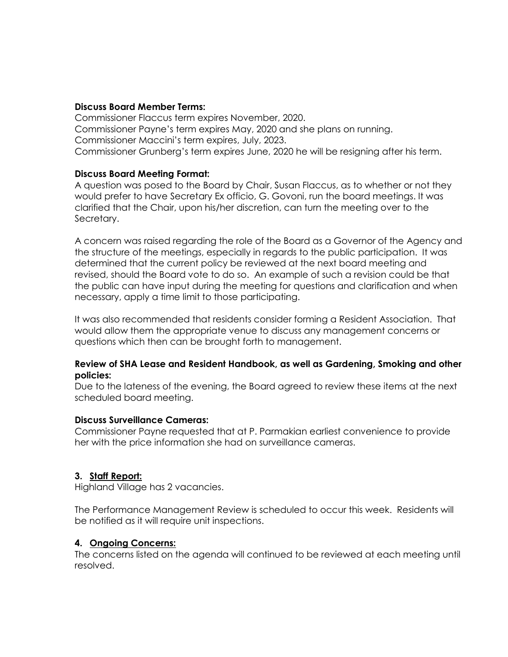#### **Discuss Board Member Terms:**

Commissioner Flaccus term expires November, 2020. Commissioner Payne's term expires May, 2020 and she plans on running. Commissioner Maccini's term expires, July, 2023. Commissioner Grunberg's term expires June, 2020 he will be resigning after his term.

#### **Discuss Board Meeting Format:**

A question was posed to the Board by Chair, Susan Flaccus, as to whether or not they would prefer to have Secretary Ex officio, G. Govoni, run the board meetings. It was clarified that the Chair, upon his/her discretion, can turn the meeting over to the Secretary.

A concern was raised regarding the role of the Board as a Governor of the Agency and the structure of the meetings, especially in regards to the public participation. It was determined that the current policy be reviewed at the next board meeting and revised, should the Board vote to do so. An example of such a revision could be that the public can have input during the meeting for questions and clarification and when necessary, apply a time limit to those participating.

It was also recommended that residents consider forming a Resident Association. That would allow them the appropriate venue to discuss any management concerns or questions which then can be brought forth to management.

#### **Review of SHA Lease and Resident Handbook, as well as Gardening, Smoking and other policies:**

Due to the lateness of the evening, the Board agreed to review these items at the next scheduled board meeting.

#### **Discuss Surveillance Cameras:**

Commissioner Payne requested that at P. Parmakian earliest convenience to provide her with the price information she had on surveillance cameras.

## **3. Staff Report:**

Highland Village has 2 vacancies.

The Performance Management Review is scheduled to occur this week. Residents will be notified as it will require unit inspections.

#### **4. Ongoing Concerns:**

The concerns listed on the agenda will continued to be reviewed at each meeting until resolved.